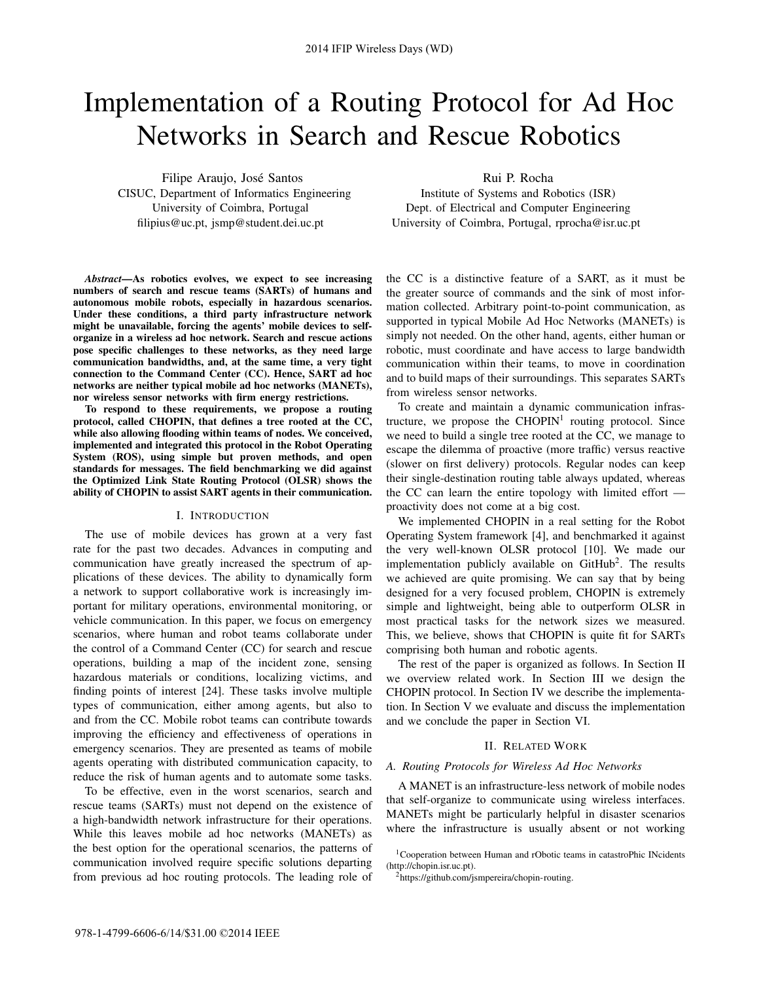# Implementation of a Routing Protocol for Ad Hoc Networks in Search and Rescue Robotics

Filipe Araujo, José Santos CISUC, Department of Informatics Engineering University of Coimbra, Portugal filipius@uc.pt, jsmp@student.dei.uc.pt

Rui P. Rocha

Institute of Systems and Robotics (ISR) Dept. of Electrical and Computer Engineering University of Coimbra, Portugal, rprocha@isr.uc.pt

*Abstract*—As robotics evolves, we expect to see increasing numbers of search and rescue teams (SARTs) of humans and autonomous mobile robots, especially in hazardous scenarios. Under these conditions, a third party infrastructure network might be unavailable, forcing the agents' mobile devices to selforganize in a wireless ad hoc network. Search and rescue actions pose specific challenges to these networks, as they need large communication bandwidths, and, at the same time, a very tight connection to the Command Center (CC). Hence, SART ad hoc networks are neither typical mobile ad hoc networks (MANETs), nor wireless sensor networks with firm energy restrictions.

To respond to these requirements, we propose a routing protocol, called CHOPIN, that defines a tree rooted at the CC, while also allowing flooding within teams of nodes. We conceived, implemented and integrated this protocol in the Robot Operating System (ROS), using simple but proven methods, and open standards for messages. The field benchmarking we did against the Optimized Link State Routing Protocol (OLSR) shows the ability of CHOPIN to assist SART agents in their communication.

#### I. INTRODUCTION

The use of mobile devices has grown at a very fast rate for the past two decades. Advances in computing and communication have greatly increased the spectrum of applications of these devices. The ability to dynamically form a network to support collaborative work is increasingly important for military operations, environmental monitoring, or vehicle communication. In this paper, we focus on emergency scenarios, where human and robot teams collaborate under the control of a Command Center (CC) for search and rescue operations, building a map of the incident zone, sensing hazardous materials or conditions, localizing victims, and finding points of interest [24]. These tasks involve multiple types of communication, either among agents, but also to and from the CC. Mobile robot teams can contribute towards improving the efficiency and effectiveness of operations in emergency scenarios. They are presented as teams of mobile agents operating with distributed communication capacity, to reduce the risk of human agents and to automate some tasks.

To be effective, even in the worst scenarios, search and rescue teams (SARTs) must not depend on the existence of a high-bandwidth network infrastructure for their operations. While this leaves mobile ad hoc networks (MANETs) as the best option for the operational scenarios, the patterns of communication involved require specific solutions departing from previous ad hoc routing protocols. The leading role of the CC is a distinctive feature of a SART, as it must be the greater source of commands and the sink of most information collected. Arbitrary point-to-point communication, as supported in typical Mobile Ad Hoc Networks (MANETs) is simply not needed. On the other hand, agents, either human or robotic, must coordinate and have access to large bandwidth communication within their teams, to move in coordination and to build maps of their surroundings. This separates SARTs from wireless sensor networks.

To create and maintain a dynamic communication infrastructure, we propose the  $CHOPIN<sup>1</sup>$  routing protocol. Since we need to build a single tree rooted at the CC, we manage to escape the dilemma of proactive (more traffic) versus reactive (slower on first delivery) protocols. Regular nodes can keep their single-destination routing table always updated, whereas the CC can learn the entire topology with limited effort proactivity does not come at a big cost.

We implemented CHOPIN in a real setting for the Robot Operating System framework [4], and benchmarked it against the very well-known OLSR protocol [10]. We made our implementation publicly available on  $G$ itHub<sup>2</sup>. The results we achieved are quite promising. We can say that by being designed for a very focused problem, CHOPIN is extremely simple and lightweight, being able to outperform OLSR in most practical tasks for the network sizes we measured. This, we believe, shows that CHOPIN is quite fit for SARTs comprising both human and robotic agents.

The rest of the paper is organized as follows. In Section II we overview related work. In Section III we design the CHOPIN protocol. In Section IV we describe the implementation. In Section V we evaluate and discuss the implementation and we conclude the paper in Section VI.

# II. RELATED WORK

# *A. Routing Protocols for Wireless Ad Hoc Networks*

A MANET is an infrastructure-less network of mobile nodes that self-organize to communicate using wireless interfaces. MANETs might be particularly helpful in disaster scenarios where the infrastructure is usually absent or not working

<sup>&</sup>lt;sup>1</sup>Cooperation between Human and rObotic teams in catastroPhic INcidents (http://chopin.isr.uc.pt).

<sup>2</sup>https://github.com/jsmpereira/chopin-routing.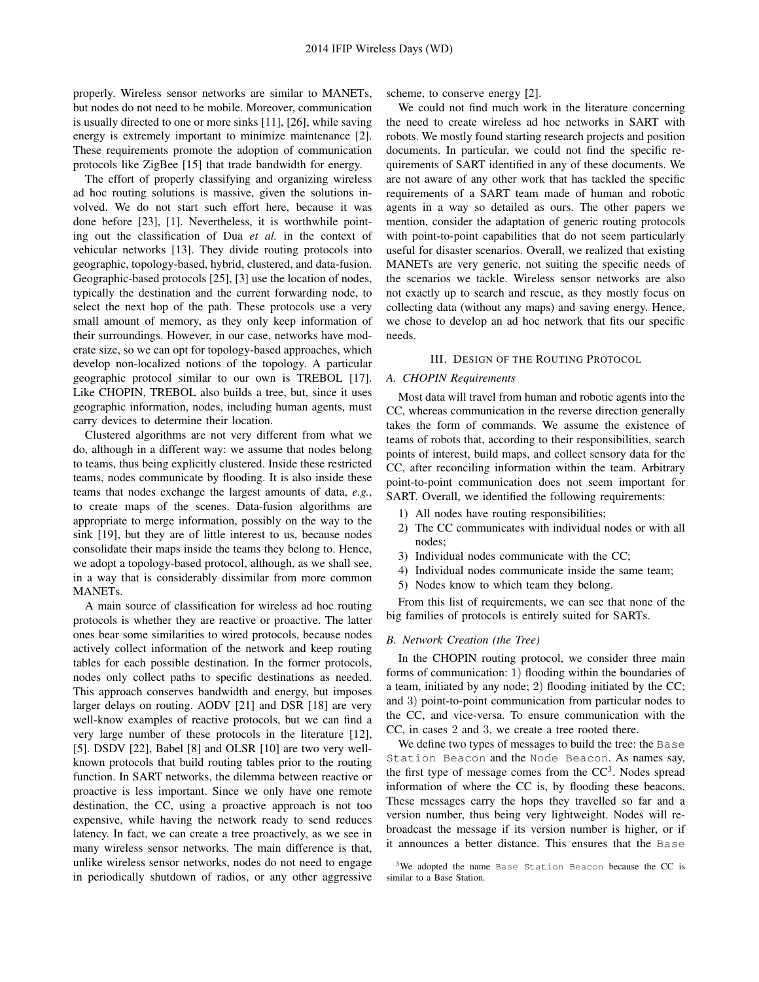properly. Wireless sensor networks are similar to MANETs, but nodes do not need to be mobile. Moreover, communication is usually directed to one or more sinks [11], [26], while saving energy is extremely important to minimize maintenance [2]. These requirements promote the adoption of communication protocols like ZigBee [15] that trade bandwidth for energy.

The effort of properly classifying and organizing wireless ad hoc routing solutions is massive, given the solutions involved. We do not start such effort here, because it was done before [23], [1]. Nevertheless, it is worthwhile pointing out the classification of Dua *et al.* in the context of vehicular networks [13]. They divide routing protocols into geographic, topology-based, hybrid, clustered, and data-fusion. Geographic-based protocols [25], [3] use the location of nodes, typically the destination and the current forwarding node, to select the next hop of the path. These protocols use a very small amount of memory, as they only keep information of their surroundings. However, in our case, networks have moderate size, so we can opt for topology-based approaches, which develop non-localized notions of the topology. A particular geographic protocol similar to our own is TREBOL [17]. Like CHOPIN, TREBOL also builds a tree, but, since it uses geographic information, nodes, including human agents, must carry devices to determine their location.

Clustered algorithms are not very different from what we do, although in a different way: we assume that nodes belong to teams, thus being explicitly clustered. Inside these restricted teams, nodes communicate by flooding. It is also inside these teams that nodes exchange the largest amounts of data, *e.g.*, to create maps of the scenes. Data-fusion algorithms are appropriate to merge information, possibly on the way to the sink [19], but they are of little interest to us, because nodes consolidate their maps inside the teams they belong to. Hence, we adopt a topology-based protocol, although, as we shall see, in a way that is considerably dissimilar from more common MANETs.

A main source of classification for wireless ad hoc routing protocols is whether they are reactive or proactive. The latter ones bear some similarities to wired protocols, because nodes actively collect information of the network and keep routing tables for each possible destination. In the former protocols, nodes only collect paths to specific destinations as needed. This approach conserves bandwidth and energy, but imposes larger delays on routing. AODV [21] and DSR [18] are very well-know examples of reactive protocols, but we can find a very large number of these protocols in the literature [12], [5]. DSDV [22], Babel [8] and OLSR [10] are two very wellknown protocols that build routing tables prior to the routing function. In SART networks, the dilemma between reactive or proactive is less important. Since we only have one remote destination, the CC, using a proactive approach is not too expensive, while having the network ready to send reduces latency. In fact, we can create a tree proactively, as we see in many wireless sensor networks. The main difference is that, unlike wireless sensor networks, nodes do not need to engage in periodically shutdown of radios, or any other aggressive scheme, to conserve energy [2].

We could not find much work in the literature concerning the need to create wireless ad hoc networks in SART with robots. We mostly found starting research projects and position documents. In particular, we could not find the specific requirements of SART identified in any of these documents. We are not aware of any other work that has tackled the specific requirements of a SART team made of human and robotic agents in a way so detailed as ours. The other papers we mention, consider the adaptation of generic routing protocols with point-to-point capabilities that do not seem particularly useful for disaster scenarios. Overall, we realized that existing MANETs are very generic, not suiting the specific needs of the scenarios we tackle. Wireless sensor networks are also not exactly up to search and rescue, as they mostly focus on collecting data (without any maps) and saving energy. Hence, we chose to develop an ad hoc network that fits our specific needs.

## III. DESIGN OF THE ROUTING PROTOCOL

# *A. CHOPIN Requirements*

Most data will travel from human and robotic agents into the CC, whereas communication in the reverse direction generally takes the form of commands. We assume the existence of teams of robots that, according to their responsibilities, search points of interest, build maps, and collect sensory data for the CC, after reconciling information within the team. Arbitrary point-to-point communication does not seem important for SART. Overall, we identified the following requirements:

- 1) All nodes have routing responsibilities;
- 2) The CC communicates with individual nodes or with all nodes;
- 3) Individual nodes communicate with the CC;
- 4) Individual nodes communicate inside the same team;
- 5) Nodes know to which team they belong.

From this list of requirements, we can see that none of the big families of protocols is entirely suited for SARTs.

# *B. Network Creation (the Tree)*

In the CHOPIN routing protocol, we consider three main forms of communication: 1) flooding within the boundaries of a team, initiated by any node; 2) flooding initiated by the CC; and 3) point-to-point communication from particular nodes to the CC, and vice-versa. To ensure communication with the CC, in cases 2 and 3, we create a tree rooted there.

We define two types of messages to build the tree: the Base Station Beacon and the Node Beacon. As names say, the first type of message comes from the  $CC<sup>3</sup>$ . Nodes spread information of where the CC is, by flooding these beacons. These messages carry the hops they travelled so far and a version number, thus being very lightweight. Nodes will rebroadcast the message if its version number is higher, or if it announces a better distance. This ensures that the Base

<sup>3</sup>We adopted the name Base Station Beacon because the CC is similar to a Base Station.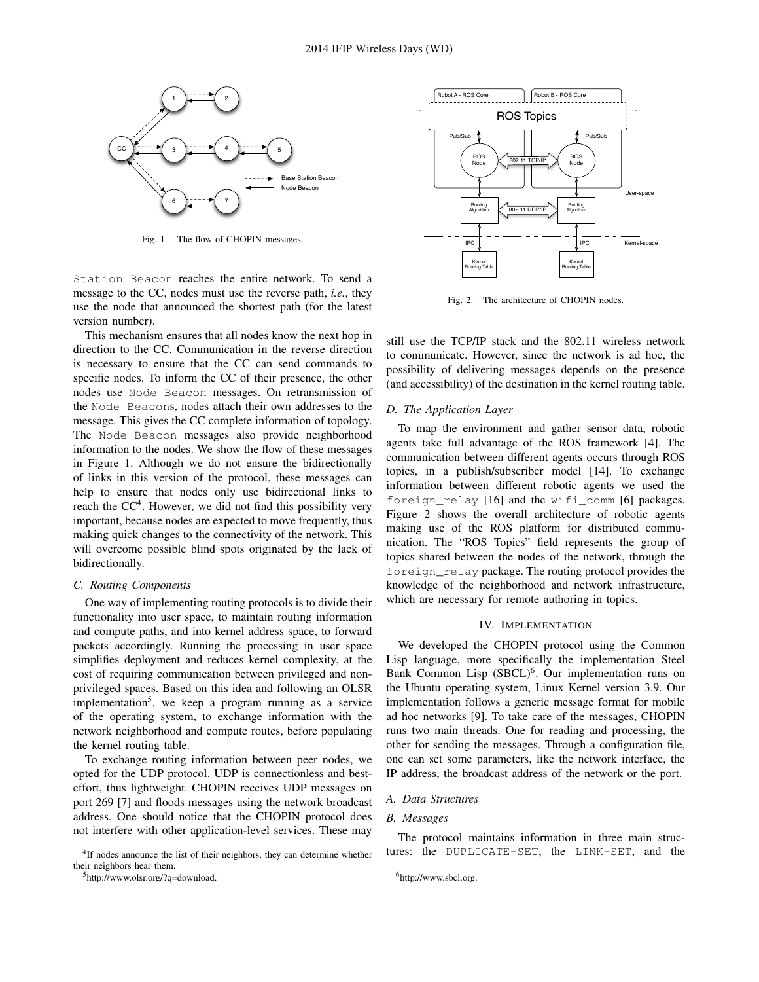

Fig. 1. The flow of CHOPIN messages.

Station Beacon reaches the entire network. To send a message to the CC, nodes must use the reverse path, *i.e.*, they use the node that announced the shortest path (for the latest version number).

This mechanism ensures that all nodes know the next hop in direction to the CC. Communication in the reverse direction is necessary to ensure that the CC can send commands to specific nodes. To inform the CC of their presence, the other nodes use Node Beacon messages. On retransmission of the Node Beacons, nodes attach their own addresses to the message. This gives the CC complete information of topology. The Node Beacon messages also provide neighborhood information to the nodes. We show the flow of these messages in Figure 1. Although we do not ensure the bidirectionally of links in this version of the protocol, these messages can help to ensure that nodes only use bidirectional links to reach the  $CC<sup>4</sup>$ . However, we did not find this possibility very important, because nodes are expected to move frequently, thus making quick changes to the connectivity of the network. This will overcome possible blind spots originated by the lack of bidirectionally.

# *C. Routing Components*

One way of implementing routing protocols is to divide their functionality into user space, to maintain routing information and compute paths, and into kernel address space, to forward packets accordingly. Running the processing in user space simplifies deployment and reduces kernel complexity, at the cost of requiring communication between privileged and nonprivileged spaces. Based on this idea and following an OLSR implementation<sup>5</sup>, we keep a program running as a service of the operating system, to exchange information with the network neighborhood and compute routes, before populating the kernel routing table.

To exchange routing information between peer nodes, we opted for the UDP protocol. UDP is connectionless and besteffort, thus lightweight. CHOPIN receives UDP messages on port 269 [7] and floods messages using the network broadcast address. One should notice that the CHOPIN protocol does not interfere with other application-level services. These may

5http://www.olsr.org/?q=download.



Fig. 2. The architecture of CHOPIN nodes.

still use the TCP/IP stack and the 802.11 wireless network to communicate. However, since the network is ad hoc, the possibility of delivering messages depends on the presence (and accessibility) of the destination in the kernel routing table.

# *D. The Application Layer*

To map the environment and gather sensor data, robotic agents take full advantage of the ROS framework [4]. The communication between different agents occurs through ROS topics, in a publish/subscriber model [14]. To exchange information between different robotic agents we used the foreign\_relay [16] and the wifi\_comm [6] packages. Figure 2 shows the overall architecture of robotic agents making use of the ROS platform for distributed communication. The "ROS Topics" field represents the group of topics shared between the nodes of the network, through the foreign\_relay package. The routing protocol provides the knowledge of the neighborhood and network infrastructure, which are necessary for remote authoring in topics.

#### IV. IMPLEMENTATION

We developed the CHOPIN protocol using the Common Lisp language, more specifically the implementation Steel Bank Common Lisp  $(SBCL)^6$ . Our implementation runs on the Ubuntu operating system, Linux Kernel version 3.9. Our implementation follows a generic message format for mobile ad hoc networks [9]. To take care of the messages, CHOPIN runs two main threads. One for reading and processing, the other for sending the messages. Through a configuration file, one can set some parameters, like the network interface, the IP address, the broadcast address of the network or the port.

# *A. Data Structures*

# *B. Messages*

The protocol maintains information in three main structures: the DUPLICATE-SET, the LINK-SET, and the

<sup>&</sup>lt;sup>4</sup>If nodes announce the list of their neighbors, they can determine whether their neighbors hear them.

<sup>6</sup>http://www.sbcl.org.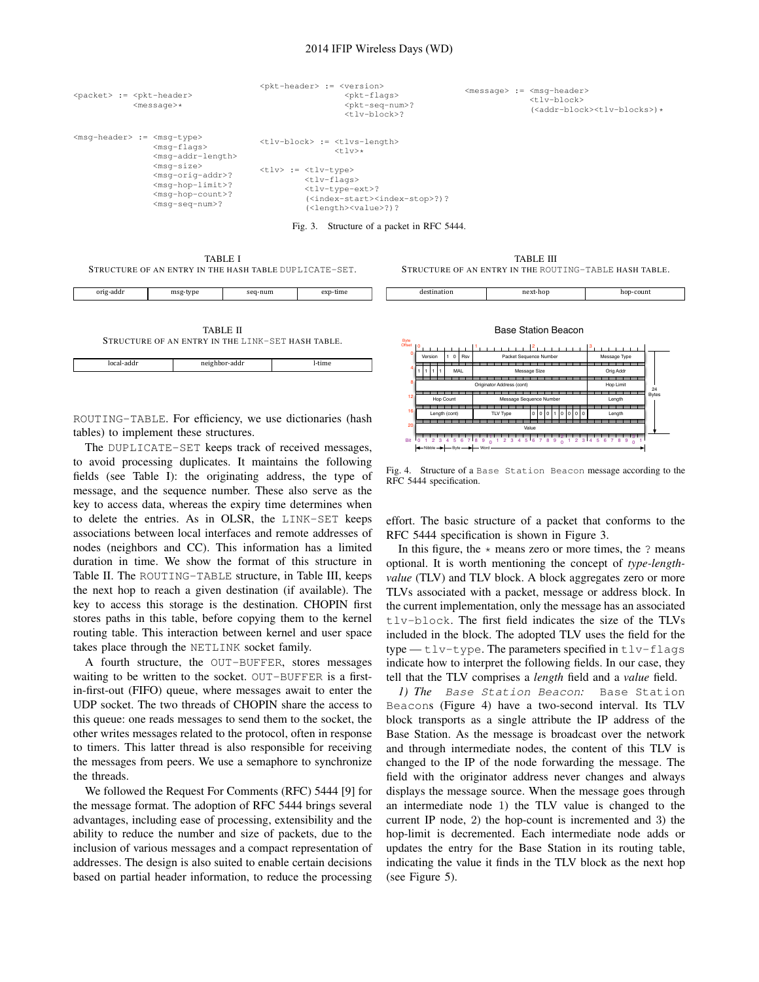#### 2014 IFIP Wireless Days (WD)



TABLE I STRUCTURE OF AN ENTRY IN THE HASH TABLE DUPLICATE-SET.

| orig-addr | msg-type | seq-num | exp-time |
|-----------|----------|---------|----------|

TABLE II STRUCTURE OF AN ENTRY IN THE LINK-SET HASH TABLE.

| local-addr | neighbor-addr |  |
|------------|---------------|--|
|            |               |  |

ROUTING-TABLE. For efficiency, we use dictionaries (hash tables) to implement these structures.

The DUPLICATE-SET keeps track of received messages, to avoid processing duplicates. It maintains the following fields (see Table I): the originating address, the type of message, and the sequence number. These also serve as the key to access data, whereas the expiry time determines when to delete the entries. As in OLSR, the LINK-SET keeps associations between local interfaces and remote addresses of nodes (neighbors and CC). This information has a limited duration in time. We show the format of this structure in Table II. The ROUTING-TABLE structure, in Table III, keeps the next hop to reach a given destination (if available). The key to access this storage is the destination. CHOPIN first stores paths in this table, before copying them to the kernel routing table. This interaction between kernel and user space takes place through the NETLINK socket family.

A fourth structure, the OUT-BUFFER, stores messages waiting to be written to the socket. OUT-BUFFER is a firstin-first-out (FIFO) queue, where messages await to enter the UDP socket. The two threads of CHOPIN share the access to this queue: one reads messages to send them to the socket, the other writes messages related to the protocol, often in response to timers. This latter thread is also responsible for receiving the messages from peers. We use a semaphore to synchronize the threads.

We followed the Request For Comments (RFC) 5444 [9] for the message format. The adoption of RFC 5444 brings several advantages, including ease of processing, extensibility and the ability to reduce the number and size of packets, due to the inclusion of various messages and a compact representation of addresses. The design is also suited to enable certain decisions based on partial header information, to reduce the processing

TABLE III STRUCTURE OF AN ENTRY IN THE ROUTTNG-TABLE HASH TABLE.

destination hop-count

| Byte               |   |                                                |  |                                   |  |     |  |  |                                   |                 |              | Base Station Beacon |  |                 |                 |                |  |       |  |                |           |              |  |  |        |   |                |   |  |                    |  |  |  |  |
|--------------------|---|------------------------------------------------|--|-----------------------------------|--|-----|--|--|-----------------------------------|-----------------|--------------|---------------------|--|-----------------|-----------------|----------------|--|-------|--|----------------|-----------|--------------|--|--|--------|---|----------------|---|--|--------------------|--|--|--|--|
| <b>Offset</b><br>n | o | Version<br>Packet Sequence Number<br>Rsv<br>10 |  |                                   |  |     |  |  |                                   |                 | Message Type |                     |  |                 |                 |                |  |       |  |                |           |              |  |  |        |   |                |   |  |                    |  |  |  |  |
|                    |   |                                                |  |                                   |  | MAL |  |  |                                   | Message Size    |              |                     |  |                 |                 |                |  |       |  |                | Orig Addr |              |  |  |        |   |                |   |  |                    |  |  |  |  |
| 8                  |   | Originator Address (cont)                      |  |                                   |  |     |  |  |                                   |                 |              |                     |  | Hop Limit       |                 |                |  |       |  |                |           | 24           |  |  |        |   |                |   |  |                    |  |  |  |  |
| 12 <sub>12</sub>   |   |                                                |  | Hop Count                         |  |     |  |  | Message Sequence Number<br>Length |                 |              |                     |  |                 |                 |                |  |       |  |                |           | <b>Bytes</b> |  |  |        |   |                |   |  |                    |  |  |  |  |
| 16 <sup>1</sup>    |   |                                                |  | Length (cont)                     |  |     |  |  |                                   | <b>TLV Type</b> |              | $\circ$             |  | $\circ$         | 10 <sup>1</sup> | 1 <sup>1</sup> |  | 01010 |  | n              |           |              |  |  | Length |   |                |   |  |                    |  |  |  |  |
| 20                 |   | Value                                          |  |                                   |  |     |  |  |                                   |                 |              |                     |  |                 |                 |                |  |       |  |                |           |              |  |  |        |   |                |   |  |                    |  |  |  |  |
| Bit                |   |                                                |  | $\leftarrow$ Nibble $\rightarrow$ |  |     |  |  | 89<br>- Byte - - - - Word         | ò               |              |                     |  | 2 3 4 5 6 7 8 9 |                 |                |  |       |  | $\overline{a}$ |           | 1234         |  |  | 5      | 6 | $\overline{7}$ | 8 |  | R<br>9<br>$\Omega$ |  |  |  |  |

Fig. 4. Structure of a Base Station Beacon message according to the RFC 5444 specification.

effort. The basic structure of a packet that conforms to the RFC 5444 specification is shown in Figure 3.

In this figure, the  $\star$  means zero or more times, the ? means optional. It is worth mentioning the concept of *type-lengthvalue* (TLV) and TLV block. A block aggregates zero or more TLVs associated with a packet, message or address block. In the current implementation, only the message has an associated tlv-block. The first field indicates the size of the TLVs included in the block. The adopted TLV uses the field for the type — tlv-type. The parameters specified in tlv-flags indicate how to interpret the following fields. In our case, they tell that the TLV comprises a *length* field and a *value* field.

*1) The Base Station Beacon:* Base Station Beacons (Figure 4) have a two-second interval. Its TLV block transports as a single attribute the IP address of the Base Station. As the message is broadcast over the network and through intermediate nodes, the content of this TLV is changed to the IP of the node forwarding the message. The field with the originator address never changes and always displays the message source. When the message goes through an intermediate node 1) the TLV value is changed to the current IP node, 2) the hop-count is incremented and 3) the hop-limit is decremented. Each intermediate node adds or updates the entry for the Base Station in its routing table, indicating the value it finds in the TLV block as the next hop (see Figure 5).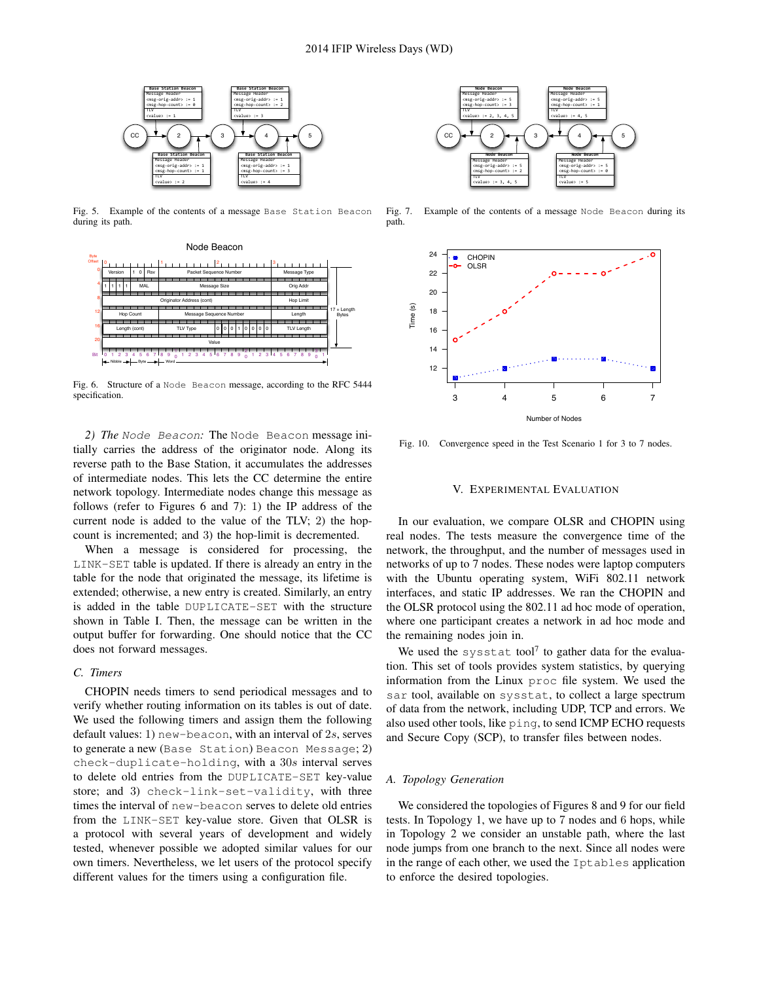

Fig. 5. Example of the contents of a message Base Station Beacon during its path.



Fig. 6. Structure of a Node Beacon message, according to the RFC 5444 specification.

*2) The Node Beacon:* The Node Beacon message initially carries the address of the originator node. Along its reverse path to the Base Station, it accumulates the addresses of intermediate nodes. This lets the CC determine the entire network topology. Intermediate nodes change this message as follows (refer to Figures 6 and 7): 1) the IP address of the current node is added to the value of the TLV; 2) the hopcount is incremented; and 3) the hop-limit is decremented.

When a message is considered for processing, the LINK-SET table is updated. If there is already an entry in the table for the node that originated the message, its lifetime is extended; otherwise, a new entry is created. Similarly, an entry is added in the table DUPLICATE-SET with the structure shown in Table I. Then, the message can be written in the output buffer for forwarding. One should notice that the CC does not forward messages.

# *C. Timers*

CHOPIN needs timers to send periodical messages and to verify whether routing information on its tables is out of date. We used the following timers and assign them the following default values: 1) new-beacon, with an interval of 2*s*, serves to generate a new (Base Station) Beacon Message; 2) check-duplicate-holding, with a 30*s* interval serves to delete old entries from the DUPLICATE-SET key-value store; and 3) check-link-set-validity, with three times the interval of new-beacon serves to delete old entries from the LINK-SET key-value store. Given that OLSR is a protocol with several years of development and widely tested, whenever possible we adopted similar values for our own timers. Nevertheless, we let users of the protocol specify different values for the timers using a configuration file.



Fig. 7. Example of the contents of a message Node Beacon during its path.



Fig. 10. Convergence speed in the Test Scenario 1 for 3 to 7 nodes.

#### V. EXPERIMENTAL EVALUATION

In our evaluation, we compare OLSR and CHOPIN using real nodes. The tests measure the convergence time of the network, the throughput, and the number of messages used in networks of up to 7 nodes. These nodes were laptop computers with the Ubuntu operating system, WiFi 802.11 network interfaces, and static IP addresses. We ran the CHOPIN and the OLSR protocol using the 802.11 ad hoc mode of operation, where one participant creates a network in ad hoc mode and the remaining nodes join in.

We used the sysstat tool<sup>7</sup> to gather data for the evaluation. This set of tools provides system statistics, by querying information from the Linux proc file system. We used the sar tool, available on sysstat, to collect a large spectrum of data from the network, including UDP, TCP and errors. We also used other tools, like ping, to send ICMP ECHO requests and Secure Copy (SCP), to transfer files between nodes.

# *A. Topology Generation*

We considered the topologies of Figures 8 and 9 for our field tests. In Topology 1, we have up to 7 nodes and 6 hops, while in Topology 2 we consider an unstable path, where the last node jumps from one branch to the next. Since all nodes were in the range of each other, we used the Iptables application to enforce the desired topologies.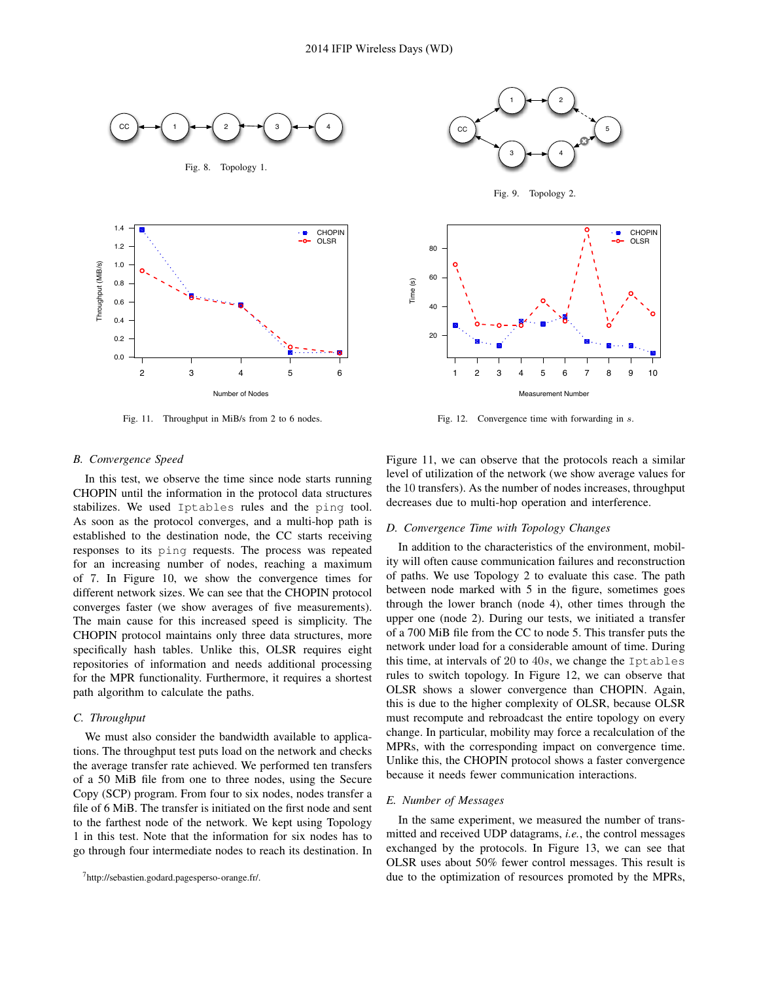

Fig. 8. Topology 1.



Fig. 11. Throughput in MiB/s from 2 to 6 nodes.

# *B. Convergence Speed*

In this test, we observe the time since node starts running CHOPIN until the information in the protocol data structures stabilizes. We used Iptables rules and the ping tool. As soon as the protocol converges, and a multi-hop path is established to the destination node, the CC starts receiving responses to its ping requests. The process was repeated for an increasing number of nodes, reaching a maximum of 7. In Figure 10, we show the convergence times for different network sizes. We can see that the CHOPIN protocol converges faster (we show averages of five measurements). The main cause for this increased speed is simplicity. The CHOPIN protocol maintains only three data structures, more specifically hash tables. Unlike this, OLSR requires eight repositories of information and needs additional processing for the MPR functionality. Furthermore, it requires a shortest path algorithm to calculate the paths.

# *C. Throughput*

We must also consider the bandwidth available to applications. The throughput test puts load on the network and checks the average transfer rate achieved. We performed ten transfers of a 50 MiB file from one to three nodes, using the Secure Copy (SCP) program. From four to six nodes, nodes transfer a file of 6 MiB. The transfer is initiated on the first node and sent to the farthest node of the network. We kept using Topology 1 in this test. Note that the information for six nodes has to go through four intermediate nodes to reach its destination. In



Fig. 9. Topology 2.



Fig. 12. Convergence time with forwarding in *s*.

Figure 11, we can observe that the protocols reach a similar level of utilization of the network (we show average values for the 10 transfers). As the number of nodes increases, throughput decreases due to multi-hop operation and interference.

# *D. Convergence Time with Topology Changes*

In addition to the characteristics of the environment, mobility will often cause communication failures and reconstruction of paths. We use Topology 2 to evaluate this case. The path between node marked with 5 in the figure, sometimes goes through the lower branch (node 4), other times through the upper one (node 2). During our tests, we initiated a transfer of a 700 MiB file from the CC to node 5. This transfer puts the network under load for a considerable amount of time. During this time, at intervals of 20 to 40*s*, we change the Iptables rules to switch topology. In Figure 12, we can observe that OLSR shows a slower convergence than CHOPIN. Again, this is due to the higher complexity of OLSR, because OLSR must recompute and rebroadcast the entire topology on every change. In particular, mobility may force a recalculation of the MPRs, with the corresponding impact on convergence time. Unlike this, the CHOPIN protocol shows a faster convergence because it needs fewer communication interactions.

# *E. Number of Messages*

In the same experiment, we measured the number of transmitted and received UDP datagrams, *i.e.*, the control messages exchanged by the protocols. In Figure 13, we can see that OLSR uses about 50% fewer control messages. This result is due to the optimization of resources promoted by the MPRs,

<sup>7</sup>http://sebastien.godard.pagesperso-orange.fr/.